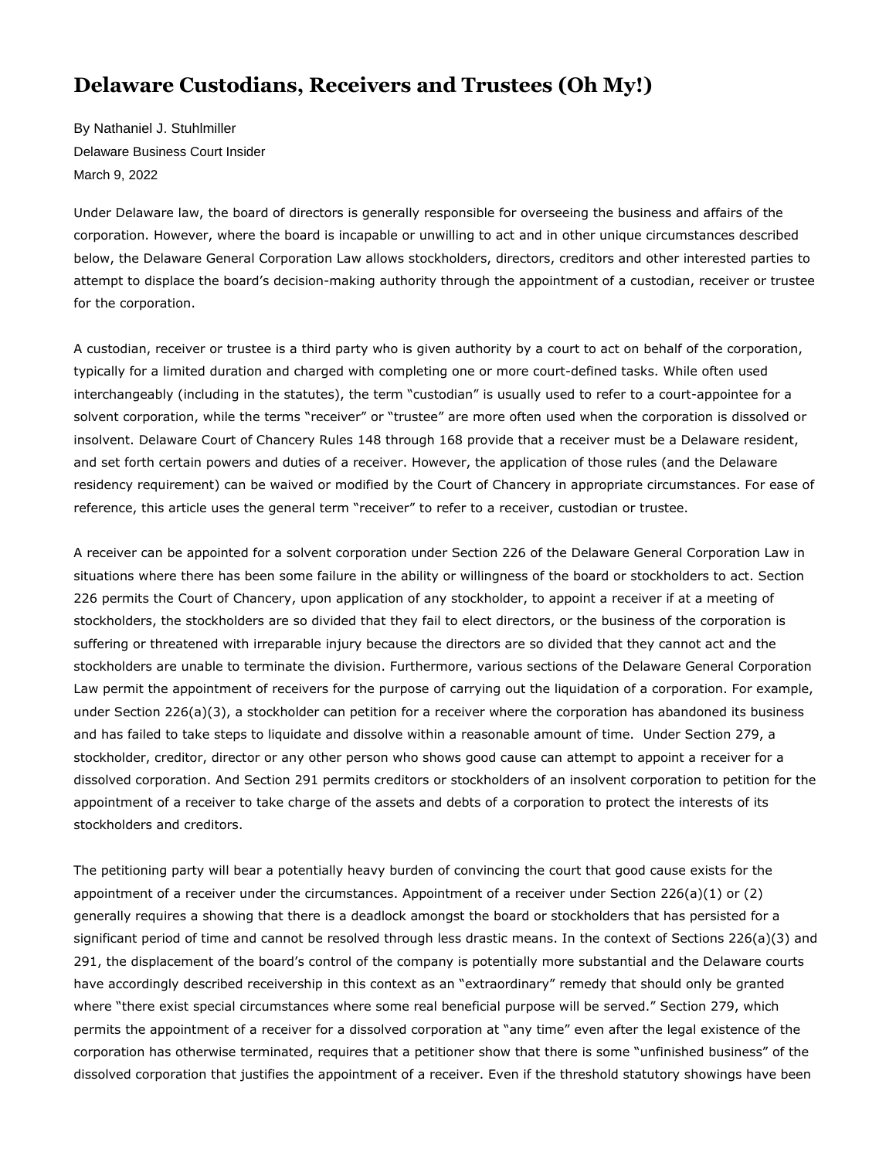## **Delaware Custodians, Receivers and Trustees (Oh My!)**

By Nathaniel J. Stuhlmiller Delaware Business Court Insider March 9, 202[2](http://www.delbizcourt.com/PubArticleDBCI.jsp?hubtype=MAIN_PAGE&id=1202593757804#postComment#postComment) 

Under Delaware law, the board of directors is generally responsible for overseeing the business and affairs of the corporation. However, where the board is incapable or unwilling to act and in other unique circumstances described below, the Delaware General Corporation Law allows stockholders, directors, creditors and other interested parties to attempt to displace the board's decision-making authority through the appointment of a custodian, receiver or trustee for the corporation.

A custodian, receiver or trustee is a third party who is given authority by a court to act on behalf of the corporation, typically for a limited duration and charged with completing one or more court-defined tasks. While often used interchangeably (including in the statutes), the term "custodian" is usually used to refer to a court-appointee for a solvent corporation, while the terms "receiver" or "trustee" are more often used when the corporation is dissolved or insolvent. Delaware Court of Chancery Rules 148 through 168 provide that a receiver must be a Delaware resident, and set forth certain powers and duties of a receiver. However, the application of those rules (and the Delaware residency requirement) can be waived or modified by the Court of Chancery in appropriate circumstances. For ease of reference, this article uses the general term "receiver" to refer to a receiver, custodian or trustee.

A receiver can be appointed for a solvent corporation under Section 226 of the Delaware General Corporation Law in situations where there has been some failure in the ability or willingness of the board or stockholders to act. Section 226 permits the Court of Chancery, upon application of any stockholder, to appoint a receiver if at a meeting of stockholders, the stockholders are so divided that they fail to elect directors, or the business of the corporation is suffering or threatened with irreparable injury because the directors are so divided that they cannot act and the stockholders are unable to terminate the division. Furthermore, various sections of the Delaware General Corporation Law permit the appointment of receivers for the purpose of carrying out the liquidation of a corporation. For example, under Section 226(a)(3), a stockholder can petition for a receiver where the corporation has abandoned its business and has failed to take steps to liquidate and dissolve within a reasonable amount of time. Under Section 279, a stockholder, creditor, director or any other person who shows good cause can attempt to appoint a receiver for a dissolved corporation. And Section 291 permits creditors or stockholders of an insolvent corporation to petition for the appointment of a receiver to take charge of the assets and debts of a corporation to protect the interests of its stockholders and creditors.

The petitioning party will bear a potentially heavy burden of convincing the court that good cause exists for the appointment of a receiver under the circumstances. Appointment of a receiver under Section 226(a)(1) or (2) generally requires a showing that there is a deadlock amongst the board or stockholders that has persisted for a significant period of time and cannot be resolved through less drastic means. In the context of Sections 226(a)(3) and 291, the displacement of the board's control of the company is potentially more substantial and the Delaware courts have accordingly described receivership in this context as an "extraordinary" remedy that should only be granted where "there exist special circumstances where some real beneficial purpose will be served." Section 279, which permits the appointment of a receiver for a dissolved corporation at "any time" even after the legal existence of the corporation has otherwise terminated, requires that a petitioner show that there is some "unfinished business" of the dissolved corporation that justifies the appointment of a receiver. Even if the threshold statutory showings have been